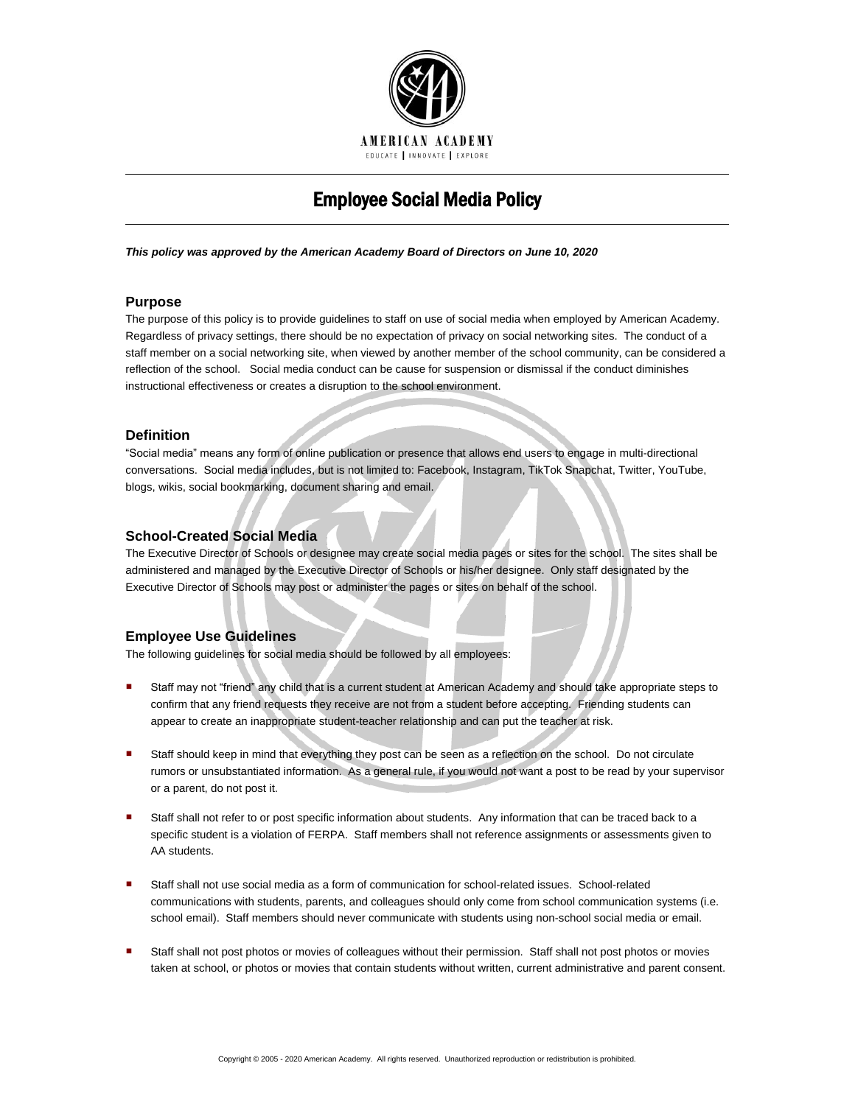

# Employee Social Media Policy

*This policy was approved by the American Academy Board of Directors on June 10, 2020*

#### **Purpose**

The purpose of this policy is to provide guidelines to staff on use of social media when employed by American Academy. Regardless of privacy settings, there should be no expectation of privacy on social networking sites. The conduct of a staff member on a social networking site, when viewed by another member of the school community, can be considered a reflection of the school. Social media conduct can be cause for suspension or dismissal if the conduct diminishes instructional effectiveness or creates a disruption to the school environment.

#### **Definition**

"Social media" means any form of online publication or presence that allows end users to engage in multi-directional conversations. Social media includes, but is not limited to: Facebook, Instagram, TikTok Snapchat, Twitter, YouTube, blogs, wikis, social bookmarking, document sharing and email.

#### **School-Created Social Media**

The Executive Director of Schools or designee may create social media pages or sites for the school. The sites shall be administered and managed by the Executive Director of Schools or his/her designee. Only staff designated by the Executive Director of Schools may post or administer the pages or sites on behalf of the school.

### **Employee Use Guidelines**

The following guidelines for social media should be followed by all employees:

- Staff may not "friend" any child that is a current student at American Academy and should take appropriate steps to confirm that any friend requests they receive are not from a student before accepting. Friending students can appear to create an inappropriate student-teacher relationship and can put the teacher at risk.
- **Staff should keep in mind that everything they post can be seen as a reflection on the school. Do not circulate** rumors or unsubstantiated information. As a general rule, if you would not want a post to be read by your supervisor or a parent, do not post it.
- Staff shall not refer to or post specific information about students. Any information that can be traced back to a specific student is a violation of FERPA. Staff members shall not reference assignments or assessments given to AA students.
- Staff shall not use social media as a form of communication for school-related issues. School-related communications with students, parents, and colleagues should only come from school communication systems (i.e. school email). Staff members should never communicate with students using non-school social media or email.
- Staff shall not post photos or movies of colleagues without their permission. Staff shall not post photos or movies taken at school, or photos or movies that contain students without written, current administrative and parent consent.